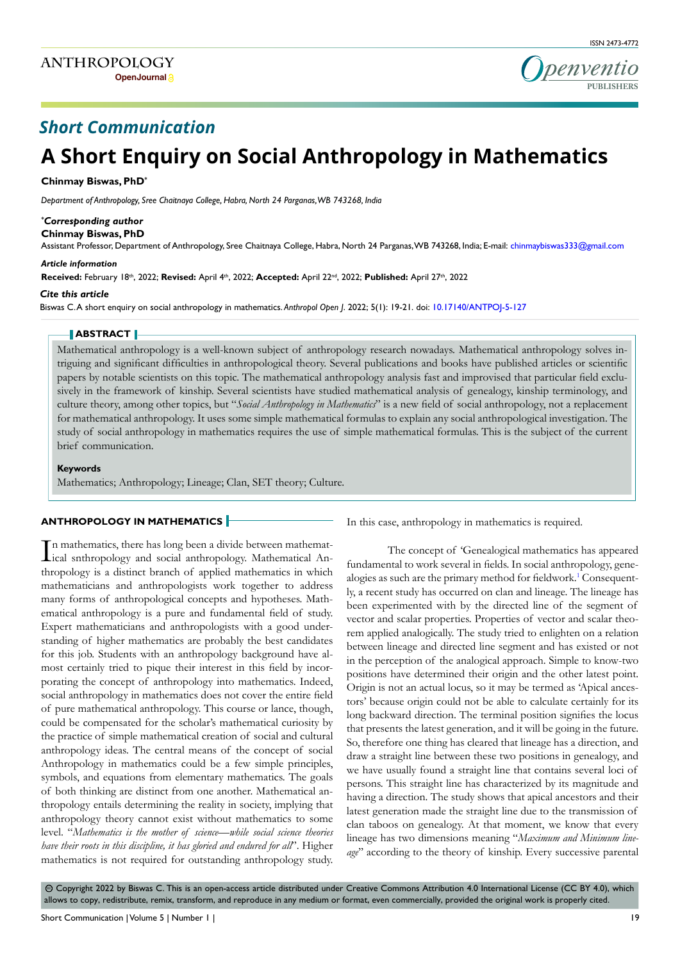

# *Short Communication*

# **A Short Enquiry on Social Anthropology in Mathematics**

# **Chinmay Biswas, PhD\***

*Department of Anthropology, Sree Chaitnaya College, Habra, North 24 Parganas, WB 743268, India*

# *\* Corresponding author*

**Chinmay Biswas, PhD**

Assistant Professor, Department of Anthropology, Sree Chaitnaya College, Habra, North 24 Parganas, WB 743268, India; E-mail: chinmaybiswas333@gmail.com

#### *Article information*

**Received:** February 18th, 2022; **Revised:** April 4th, 2022; **Accepted:** April 22nd, 2022; **Published:** April 27th, 2022

#### *Cite this article*

Biswas C. A short enquiry on social anthropology in mathematics. *Anthropol Open J*. 2022; 5(1): 19-21. doi: [10.17140/ANTPOJ-5-127](http://dx.doi.org/10.17140/ANTPOJ-5-127)

# **ABSTRACT**

Mathematical anthropology is a well-known subject of anthropology research nowadays. Mathematical anthropology solves intriguing and significant difficulties in anthropological theory. Several publications and books have published articles or scientific papers by notable scientists on this topic. The mathematical anthropology analysis fast and improvised that particular field exclusively in the framework of kinship. Several scientists have studied mathematical analysis of genealogy, kinship terminology, and culture theory, among other topics, but "*Social Anthropology in Mathematics*" is a new field of social anthropology, not a replacement for mathematical anthropology. It uses some simple mathematical formulas to explain any social anthropological investigation. The study of social anthropology in mathematics requires the use of simple mathematical formulas. This is the subject of the current brief communication.

#### **Keywords**

Mathematics; Anthropology; Lineage; Clan, SET theory; Culture.

## **ANTHROPOLOGY IN MATHEMATICS**

In mathematics, there has long been a divide between mathematical An-<br>Lical snthropology and social anthropology. Mathematical Ann mathematics, there has long been a divide between mathematthropology is a distinct branch of applied mathematics in which mathematicians and anthropologists work together to address many forms of anthropological concepts and hypotheses. Mathematical anthropology is a pure and fundamental field of study. Expert mathematicians and anthropologists with a good understanding of higher mathematics are probably the best candidates for this job. Students with an anthropology background have almost certainly tried to pique their interest in this field by incorporating the concept of anthropology into mathematics. Indeed, social anthropology in mathematics does not cover the entire field of pure mathematical anthropology. This course or lance, though, could be compensated for the scholar's mathematical curiosity by the practice of simple mathematical creation of social and cultural anthropology ideas. The central means of the concept of social Anthropology in mathematics could be a few simple principles, symbols, and equations from elementary mathematics. The goals of both thinking are distinct from one another. Mathematical anthropology entails determining the reality in society, implying that anthropology theory cannot exist without mathematics to some level. "*Mathematics is the mother of science—while social science theories have their roots in this discipline, it has gloried and endured for all*". Higher mathematics is not required for outstanding anthropology study.

In this case, anthropology in mathematics is required.

The concept of 'Genealogical mathematics has appeared fundamental to work several in fields. In social anthropology, gene-alogies as such are the primary method for fieldwork.<sup>[1](#page-2-0)</sup> Consequently, a recent study has occurred on clan and lineage. The lineage has been experimented with by the directed line of the segment of vector and scalar properties. Properties of vector and scalar theorem applied analogically. The study tried to enlighten on a relation between lineage and directed line segment and has existed or not in the perception of the analogical approach. Simple to know-two positions have determined their origin and the other latest point. Origin is not an actual locus, so it may be termed as 'Apical ancestors' because origin could not be able to calculate certainly for its long backward direction. The terminal position signifies the locus that presents the latest generation, and it will be going in the future. So, therefore one thing has cleared that lineage has a direction, and draw a straight line between these two positions in genealogy, and we have usually found a straight line that contains several loci of persons. This straight line has characterized by its magnitude and having a direction. The study shows that apical ancestors and their latest generation made the straight line due to the transmission of clan taboos on genealogy. At that moment, we know that every lineage has two dimensions meaning "*Maximum and Minimum lineage*" according to the theory of kinship. Every successive parental

 $\odot$  Copyright 2022 by Biswas C. This is an open-access article distributed under Creative Commons Attribution 4.0 International License (CC BY 4.0), which allows to copy, redistribute, remix, transform, and reproduce in any medium or format, even commercially, provided the original work is properly cited.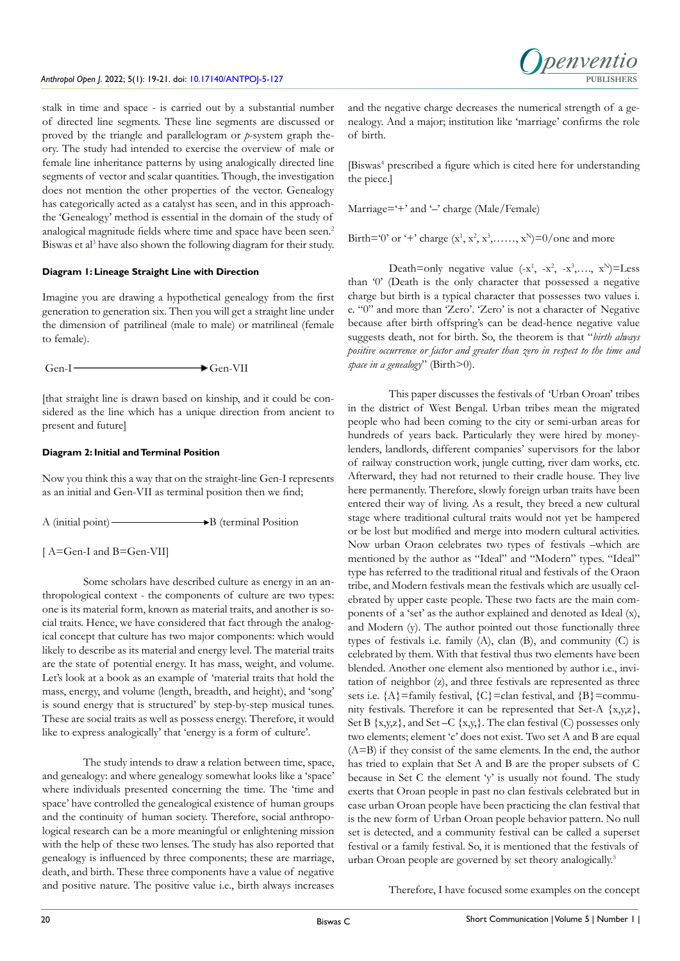

stalk in time and space - is carried out by a substantial number of directed line segments. These line segments are discussed or proved by the triangle and parallelogram or *p*-system graph theory. The study had intended to exercise the overview of male or female line inheritance patterns by using analogically directed line segments of vector and scalar quantities. Though, the investigation does not mention the other properties of the vector. Genealogy has categorically acted as a catalyst has seen, and in this approachthe 'Genealogy' method is essential in the domain of the study of analogical magnitude fields where time and space have been seen.<sup>[2](#page-2-1)</sup> Biswas et al<sup>3</sup> have also shown the following diagram for their study.

# **Diagram 1: Lineage Straight Line with Direction**

Imagine you are drawing a hypothetical genealogy from the first generation to generation six. Then you will get a straight line under the dimension of patrilineal (male to male) or matrilineal (female to female).

 $Gen-I \longrightarrow Gen-VII$ 

[that straight line is drawn based on kinship, and it could be considered as the line which has a unique direction from ancient to present and future]

# **Diagram 2: Initial and Terminal Position**

Now you think this a way that on the straight-line Gen-I represents as an initial and Gen-VII as terminal position then we find;

 $A$  (initial point)  $\longrightarrow$  B (terminal Position

[  $A=Gen-I$  and  $B=Gen-VII$ ]

Some scholars have described culture as energy in an anthropological context - the components of culture are two types: one is its material form, known as material traits, and another is social traits. Hence, we have considered that fact through the analogical concept that culture has two major components: which would likely to describe as its material and energy level. The material traits are the state of potential energy. It has mass, weight, and volume. Let's look at a book as an example of 'material traits that hold the mass, energy, and volume (length, breadth, and height), and 'song' is sound energy that is structured' by step-by-step musical tunes. These are social traits as well as possess energy. Therefore, it would like to express analogically' that 'energy is a form of culture'.

The study intends to draw a relation between time, space, and genealogy: and where genealogy somewhat looks like a 'space' where individuals presented concerning the time. The 'time and space' have controlled the genealogical existence of human groups and the continuity of human society. Therefore, social anthropological research can be a more meaningful or enlightening mission with the help of these two lenses. The study has also reported that genealogy is influenced by three components; these are marriage, death, and birth. These three components have a value of negative and positive nature. The positive value i.e., birth always increases and the negative charge decreases the numerical strength of a genealogy. And a major; institution like 'marriage' confirms the role of birth.

[Biswas[4](#page-2-2) prescribed a figure which is cited here for understanding the piece.]

Marriage='+' and '-' charge (Male/Female)

Birth='0' or '+' charge  $(x^1, x^2, x^3, \ldots, x^N)$ =0/one and more

Death=only negative value  $(-x^1, -x^2, -x^3, \ldots, x^N)$ =Less than '0' (Death is the only character that possessed a negative charge but birth is a typical character that possesses two values i. e. "0" and more than 'Zero'. 'Zero' is not a character of Negative because after birth offspring's can be dead-hence negative value suggests death, not for birth. So, the theorem is that "*birth always positive occurrence or factor and greater than zero in respect to the time and space in a genealogy*" (Birth>0).

This paper discusses the festivals of 'Urban Oroan' tribes in the district of West Bengal. Urban tribes mean the migrated people who had been coming to the city or semi-urban areas for hundreds of years back. Particularly they were hired by moneylenders, landlords, different companies' supervisors for the labor of railway construction work, jungle cutting, river dam works, etc. Afterward, they had not returned to their cradle house. They live here permanently. Therefore, slowly foreign urban traits have been entered their way of living. As a result, they breed a new cultural stage where traditional cultural traits would not yet be hampered or be lost but modified and merge into modern cultural activities. Now urban Oraon celebrates two types of festivals –which are mentioned by the author as "Ideal" and "Modern" types. "Ideal" type has referred to the traditional ritual and festivals of the Oraon tribe, and Modern festivals mean the festivals which are usually celebrated by upper caste people. These two facts are the main components of a 'set' as the author explained and denoted as Ideal (x), and Modern (y). The author pointed out those functionally three types of festivals i.e. family (A), clan (B), and community (C) is celebrated by them. With that festival thus two elements have been blended. Another one element also mentioned by author i.e., invitation of neighbor (z), and three festivals are represented as three sets i.e.  ${A}$ =family festival,  ${C}$ =clan festival, and  ${B}$ =community festivals. Therefore it can be represented that Set-A {x,y,z}, Set B  $\{x,y,z\}$ , and Set –C  $\{x,y\}$ . The clan festival (C) possesses only two elements; element 'c' does not exist. Two set A and B are equal (A=B) if they consist of the same elements. In the end, the author has tried to explain that Set A and B are the proper subsets of C because in Set C the element 'y' is usually not found. The study exerts that Oroan people in past no clan festivals celebrated but in case urban Oroan people have been practicing the clan festival that is the new form of Urban Oroan people behavior pattern. No null set is detected, and a community festival can be called a superset festival or a family festival. So, it is mentioned that the festivals of urban Oroan people are governed by set theory analogically.[5](#page-2-3)

Therefore, I have focused some examples on the concept